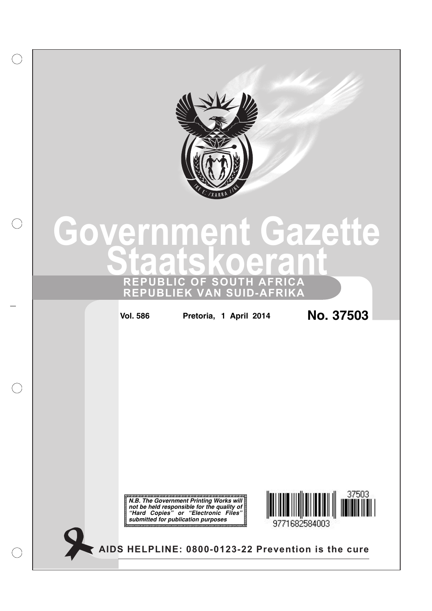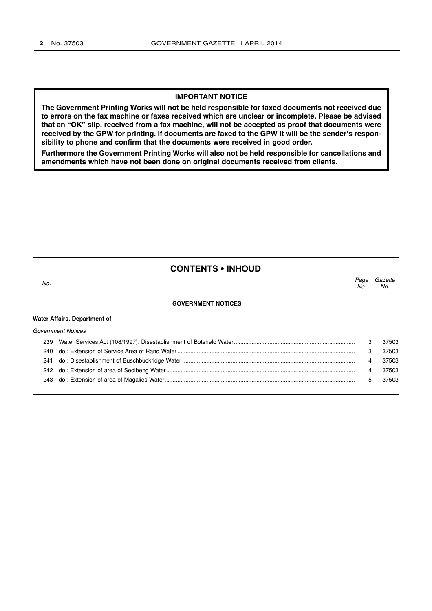#### **IMPORTANT NOTICE**

The Government Printing Works will not be held responsible for faxed documents not received due to errors on the fax machine or faxes received which are unclear or incomplete. Please be advised that an "OK" slip, received from a fax machine, will not be accepted as proof that documents were received by the GPW for printing. If documents are faxed to the GPW it will be the sender's responsibility to phone and confirm that the documents were received in good order.

Furthermore the Government Printing Works will also not be held responsible for cancellations and amendments which have not been done on original documents received from clients.

# **CONTENTS • INHOUD**

| No.  |                              | Page<br>No. | Gazette<br>No. |
|------|------------------------------|-------------|----------------|
|      | <b>GOVERNMENT NOTICES</b>    |             |                |
|      | Water Affairs, Department of |             |                |
|      | <b>Government Notices</b>    |             |                |
| 239  |                              |             | 37503          |
| 240. |                              |             | 37503          |
| 241  |                              | 4           | 37503          |
|      |                              | 4           | 37503          |
|      |                              | 5           | 37503          |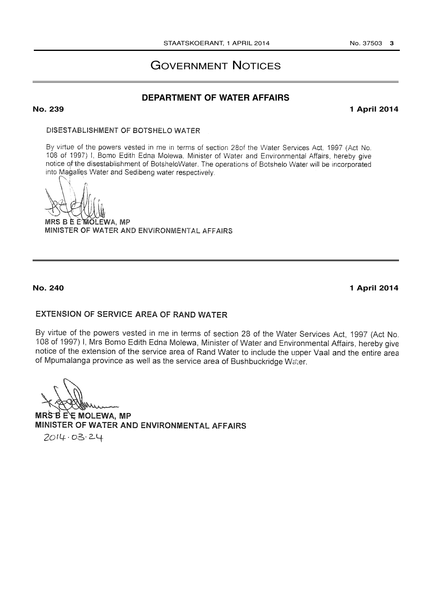# **GOVERNMENT NOTICES**

# **DEPARTMENT OF WATER AFFAIRS**

## 1 April 2014

#### DISESTABLISHMENT OF BOTSHELO WATER

By virtue of the powers vested in me in terms of section 28of the Water Services Act, 1997 (Act No. 108 of 1997) I, Bomo Edith Edna Molewa, Minister of Water and Environmental Affairs, hereby give notice of the disestablishment of BotsheloWater. The operations of Botshelo Water will be incorporated into Magalles Water and Sedibeng water respectively.

**MRS B E E MOLEWA, MP** MINISTER OF WATER AND ENVIRONMENTAL AFFAIRS

**No. 240** 

No. 239

1 April 2014

# **EXTENSION OF SERVICE AREA OF RAND WATER**

By virtue of the powers vested in me in terms of section 28 of the Water Services Act, 1997 (Act No. 108 of 1997) I, Mrs Bomo Edith Edna Molewa, Minister of Water and Environmental Affairs, hereby give notice of the extension of the service area of Rand Water to include the upper Vaal and the entire area of Mpumalanga province as well as the service area of Bushbuckridge Water.

**MRS B E E MOLEWA, MP** MINISTER OF WATER AND ENVIRONMENTAL AFFAIRS

 $2014.03.24$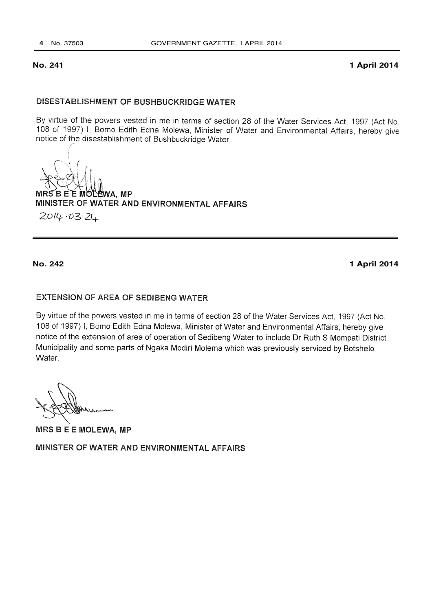#### **No. 241**

#### 1 April 2014

### **DISESTABLISHMENT OF BUSHBUCKRIDGE WATER**

By virtue of the powers vested in me in terms of section 28 of the Water Services Act, 1997 (Act No. 108 of 1997) I, Bomo Edith Edna Molewa, Minister of Water and Environmental Affairs, hereby give notice of the disestablishment of Bushbuckridge Water.

**MRS BEE MOI** :ËMA, MP MINISTER OF WATER AND ENVIRONMENTAL AFFAIRS

 $2014.03.24$ 

**No. 242** 

1 April 2014

# **EXTENSION OF AREA OF SEDIBENG WATER**

By virtue of the powers vested in me in terms of section 28 of the Water Services Act, 1997 (Act No. 108 of 1997) I, Bomo Edith Edna Molewa, Minister of Water and Environmental Affairs, hereby give notice of the extension of area of operation of Sedibeng Water to include Dr Ruth S Mompati District Municipality and some parts of Ngaka Modiri Molema which was previously serviced by Botshelo Water.

**MRS B E E MOLEWA, MP** MINISTER OF WATER AND ENVIRONMENTAL AFFAIRS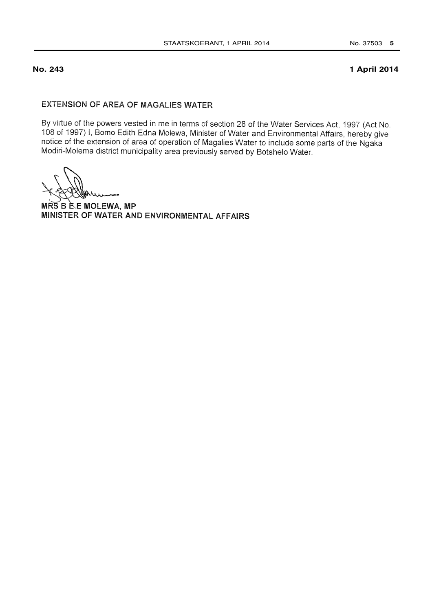### **No. 243**

# 1 April 2014

# **EXTENSION OF AREA OF MAGALIES WATER**

By virtue of the powers vested in me in terms of section 28 of the Water Services Act, 1997 (Act No. 108 of 1997) I, Bomo Edith Edna Molewa, Minister of Water and Environmental Affairs, hereby give notice of the extension of area of operation of Magalies Water to include some parts of the Ngaka Modiri-Molema district municipality area previously served by Botshelo Water.

**MRS B E.E MOLEWA, MP** MINISTER OF WATER AND ENVIRONMENTAL AFFAIRS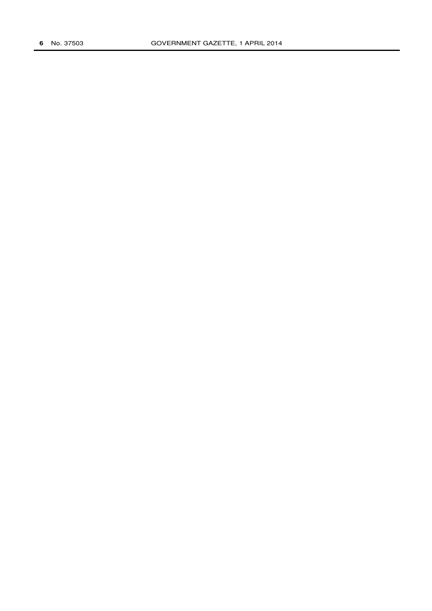6 No. 37503